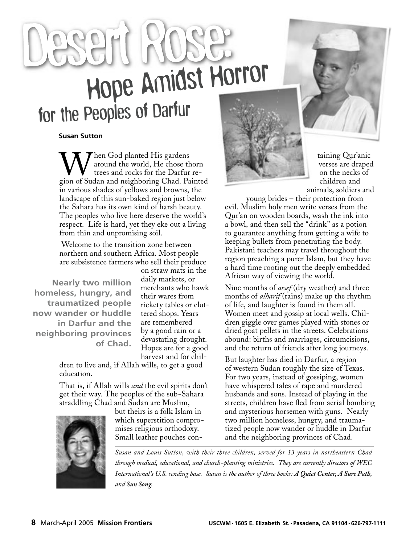# Hope Amidst Horror

#### **Susan Sutton**

Then God planted His gardens around the world, He chose thorn trees and rocks for the Darfur region of Sudan and neighboring Chad. Painted in various shades of yellows and browns, the landscape of this sun-baked region just below the Sahara has its own kind of harsh beauty. The peoples who live here deserve the world's respect. Life is hard, yet they eke out a living from thin and unpromising soil.

 Welcome to the transition zone between northern and southern Africa. Most people are subsistence farmers who sell their produce

**Nearly two million homeless, hungry, and traumatized people now wander or huddle in Darfur and the neighboring provinces of Chad.**

on straw mats in the daily markets, or merchants who hawk their wares from rickety tables or cluttered shops. Years are remembered by a good rain or a devastating drought. Hopes are for a good harvest and for chil-

dren to live and, if Allah wills, to get a good education.

That is, if Allah wills *and* the evil spirits don't get their way. The peoples of the sub-Sahara straddling Chad and Sudan are Muslim,



but theirs is a folk Islam in which superstition compromises religious orthodoxy. Small leather pouches con-



taining Qur'anic verses are draped on the necks of children and animals, soldiers and

young brides – their protection from evil. Muslim holy men write verses from the Qur'an on wooden boards, wash the ink into a bowl, and then sell the "drink" as a potion to guarantee anything from getting a wife to keeping bullets from penetrating the body. Pakistani teachers may travel throughout the region preaching a purer Islam, but they have a hard time rooting out the deeply embedded African way of viewing the world.

Nine months of *assef* (dry weather) and three months of *alharif* (rains) make up the rhythm of life, and laughter is found in them all. Women meet and gossip at local wells. Children giggle over games played with stones or dried goat pellets in the streets. Celebrations abound: births and marriages, circumcisions, and the return of friends after long journeys.

But laughter has died in Darfur, a region of western Sudan roughly the size of Texas. For two years, instead of gossiping, women have whispered tales of rape and murdered husbands and sons. Instead of playing in the streets, children have fled from aerial bombing and mysterious horsemen with guns. Nearly two million homeless, hungry, and traumatized people now wander or huddle in Darfur and the neighboring provinces of Chad.

*Susan and Louis Sutton, with their three children, served for 13 years in northeastern Chad through medical, educational, and church-planting ministries. They are currently directors of WEC International's U.S. sending base. Susan is the author of three books: A Quiet Center, A Sure Path, and Sun Song.*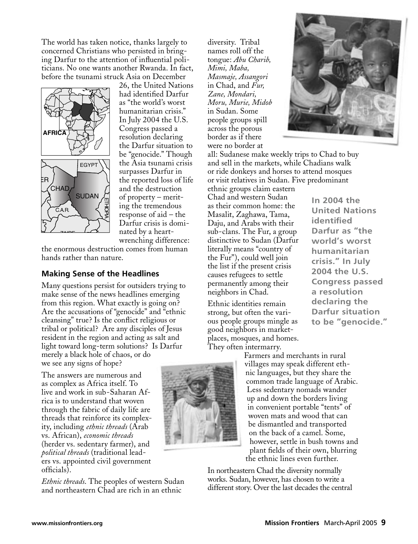The world has taken notice, thanks largely to concerned Christians who persisted in bringing Darfur to the attention of influential politicians. No one wants another Rwanda. In fact, before the tsunami struck Asia on December



26, the United Nations had identified Darfur as "the world's worst humanitarian crisis." In July 2004 the U.S. Congress passed a resolution declaring the Darfur situation to be "genocide." Though the Asia tsunami crisis surpasses Darfur in the reported loss of life and the destruction of property – meriting the tremendous response of aid – the Darfur crisis is dominated by a heartwrenching difference:

the enormous destruction comes from human hands rather than nature.

#### **Making Sense of the Headlines**

Many questions persist for outsiders trying to make sense of the news headlines emerging from this region. What exactly is going on? Are the accusations of "genocide" and "ethnic cleansing" true? Is the conflict religious or tribal or political? Are any disciples of Jesus resident in the region and acting as salt and light toward long-term solutions? Is Darfur merely a black hole of chaos, or do we see any signs of hope?

The answers are numerous and as complex as Africa itself. To live and work in sub-Saharan Africa is to understand that woven through the fabric of daily life are threads that reinforce its complexity, including *ethnic threads* (Arab vs. African), *economic threads*  (herder vs. sedentary farmer), and *political threads* (traditional leaders vs. appointed civil government officials).

*Ethnic threads*. The peoples of western Sudan and northeastern Chad are rich in an ethnic

diversity. Tribal names roll off the tongue: *Abu Charib, Mimi, Maba, Masmaje, Assangori* in Chad, and *Fur, Zane, Mondari, Moru, Murie, Midob*  in Sudan. Some people groups spill across the porous border as if there were no border at



all: Sudanese make weekly trips to Chad to buy and sell in the markets, while Chadians walk or ride donkeys and horses to attend mosques or visit relatives in Sudan. Five predominant

ethnic groups claim eastern Chad and western Sudan as their common home: the Masalit, Zaghawa, Tama, Daju, and Arabs with their sub-clans. The Fur, a group distinctive to Sudan (Darfur literally means "country of the Fur"), could well join the list if the present crisis causes refugees to settle permanently among their neighbors in Chad.

Ethnic identities remain strong, but often the various people groups mingle as good neighbors in marketplaces, mosques, and homes. They often intermarry.



**In 2004 the United Nations identified Darfur as "the world's worst humanitarian crisis." In July 2004 the U.S. Congress passed a resolution declaring the Darfur situation to be "genocide."**

Farmers and merchants in rural villages may speak different ethnic languages, but they share the common trade language of Arabic. Less sedentary nomads wander up and down the borders living in convenient portable "tents" of woven mats and wood that can be dismantled and transported on the back of a camel. Some, however, settle in bush towns and plant fields of their own, blurring the ethnic lines even further.

In northeastern Chad the diversity normally works. Sudan, however, has chosen to write a different story. Over the last decades the central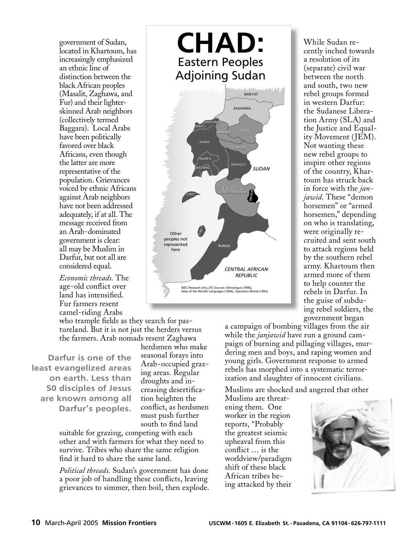government of Sudan, located in Khartoum, has increasingly emphasized an ethnic line of distinction between the black African peoples (Masalit, Zaghawa, and Fur) and their lighterskinned Arab neighbors (collectively termed Baggara). Local Arabs have been politically favored over black Africans, even though the latter are more population. Grievances voiced by ethnic Africans against Arab neighbors have not been addressed adequately, if at all. The message received from an Arab-dominated government is clear: all may be Muslim in Darfur, but not all are considered equal.

*Economic threads*. The age-old conflict over land has intensified. Fur farmers resent camel-riding Arabs CAMEROON

who trample fields as they search for pastureland. But it is not just the herders versus the farmers. Arab nomads resent Zaghawa

**Darfur is one of the least evangelized areas on earth. Less than 50 disciples of Jesus are known among all Darfur's peoples.**

herdsmen who make seasonal forays into Arab-occupied grazing areas. Regular droughts and increasing desertification heighten the conflict, as herdsmen must push further south to find land

suitable for grazing, competing with each other and with farmers for what they need to survive. Tribes who share the same religion find it hard to share the same land.

*Political threads*. Sudan's government has done a poor job of handling these conflicts, leaving grievances to simmer, then boil, then explode.

![](_page_2_Figure_7.jpeg)

While Sudan recently inched towards a resolution of its (separate) civil war between the north and south, two new rebel groups formed in western Darfur: the Sudanese Liberation Army (SLA) and the Justice and Equality Movement (JEM). Not wanting these new rebel groups to inspire other regions of the country, Khartoum has struck back in force with the *janjawid*. These "demon horsemen" or "armed horsemen," depending on who is translating, were originally recruited and sent south to attack regions held by the southern rebel army. Khartoum then armed more of them to help counter the rebels in Darfur. In the guise of subduing rebel soldiers, the government began

a campaign of bombing villages from the air while the *janjawid* have run a ground campaign of burning and pillaging villages, murdering men and boys, and raping women and young girls. Government response to armed rebels has morphed into a systematic terrorization and slaughter of innocent civilians.

Muslims are shocked and angered that other

Muslims are threatening them. One worker in the region reports, "Probably the greatest seismic upheaval from this conflict ... is the worldview/paradigm shift of these black African tribes being attacked by their

![](_page_2_Picture_12.jpeg)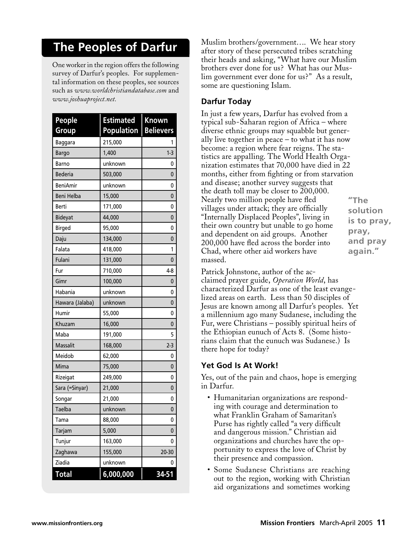# **The Peoples of Darfur**

One worker in the region offers the following survey of Darfur's peoples. For supplemental information on these peoples, see sources such as *www.worldchristiandatabase.com* and *www.joshuaproject.net.*

| <b>People</b>   | <b>Estimated</b>  | <b>Known</b>     |
|-----------------|-------------------|------------------|
| <b>Group</b>    | <b>Population</b> | <b>Believers</b> |
| Baggara         | 215,000           |                  |
| <b>Bargo</b>    | 1,400             | $1-3$            |
| Barno           | unknown           | 0                |
| <b>Bederia</b>  | 503,000           | 0                |
| <b>BeniAmir</b> | unknown           | 0                |
| Beni Helba      | 15,000            | 0                |
| Berti           | 171,000           | 0                |
| <b>Bideyat</b>  | 44,000            | 0                |
| <b>Birged</b>   | 95,000            | 0                |
| Daju            | 134,000           | 0                |
| Falata          | 418,000           | 1                |
| Fulani          | 131,000           | 0                |
| Fur             | 710,000           | $4-8$            |
| Gimr            | 100,000           | 0                |
| Habania         | unknown           | 0                |
| Hawara (Jalaba) | unknown           | 0                |
| Humir           | 55,000            | 0                |
| Khuzam          | 16,000            | 0                |
| Maba            | 191,000           | 5                |
| Massalit        | 168,000           | 2-3              |
| Meidob          | 62,000            | 0                |
| Mima            | 75,000            | 0                |
| Rizeigat        | 249,000           | 0                |
| Sara (=Sinyar)  | 21,000            | 0                |
| Songar          | 21,000            | 0                |
| Taelba          | unknown           | 0                |
| Tama            | 88,000            | 0                |
| Tarjam          | 5,000             | $\Omega$         |
| Tunjur          | 163,000           | 0                |
| Zaghawa         | 155,000           | 20-30            |
| Ziadia          | unknown           | 0                |
| <b>Total</b>    | 6,000,000         | 34-51            |

Muslim brothers/government…. We hear story after story of these persecuted tribes scratching their heads and asking, "What have our Muslim brothers ever done for us? What has our Muslim government ever done for us?" As a result, some are questioning Islam.

# **Darfur Today**

In just a few years, Darfur has evolved from a typical sub-Saharan region of Africa – where diverse ethnic groups may squabble but generally live together in peace – to what it has now become: a region where fear reigns. The statistics are appalling. The World Health Organization estimates that 70,000 have died in 22 months, either from fighting or from starvation and disease; another survey suggests that the death toll may be closer to 200,000. Nearly two million people have fled villages under attack; they are officially "Internally Displaced Peoples", living in their own country but unable to go home and dependent on aid groups. Another 200,000 have fled across the border into Chad, where other aid workers have massed.

**"The solution is to pray, pray, and pray again."**

Patrick Johnstone, author of the acclaimed prayer guide, *Operation World*, has characterized Darfur as one of the least evangelized areas on earth. Less than 50 disciples of Jesus are known among all Darfur's peoples. Yet a millennium ago many Sudanese, including the Fur, were Christians – possibly spiritual heirs of the Ethiopian eunuch of Acts 8. (Some historians claim that the eunuch was Sudanese.) Is there hope for today?

## **Yet God Is At Work!**

Yes, out of the pain and chaos, hope is emerging in Darfur.

- Humanitarian organizations are responding with courage and determination to what Franklin Graham of Samaritan's Purse has rightly called "a very difficult and dangerous mission." Christian aid organizations and churches have the opportunity to express the love of Christ by their presence and compassion.
- Some Sudanese Christians are reaching out to the region, working with Christian aid organizations and sometimes working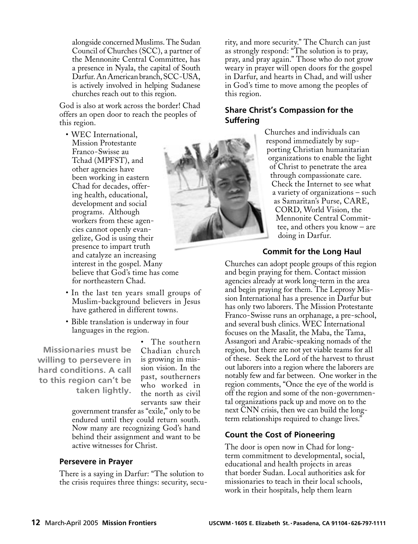alongside concerned Muslims. The Sudan Council of Churches (SCC), a partner of the Mennonite Central Committee, has a presence in Nyala, the capital of South Darfur. An American branch, SCC-USA, is actively involved in helping Sudanese churches reach out to this region.

God is also at work across the border! Chad offers an open door to reach the peoples of this region.

- WEC International, Mission Protestante Franco-Swisse au Tchad (MPFST), and other agencies have been working in eastern Chad for decades, offering health, educational, development and social programs. Although workers from these agencies cannot openly evangelize, God is using their presence to impart truth and catalyze an increasing interest in the gospel. Many believe that God's time has come for northeastern Chad.
- In the last ten years small groups of Muslim-background believers in Jesus have gathered in different towns.
- Bible translation is underway in four languages in the region.

**Missionaries must be willing to persevere in hard conditions. A call to this region can't be taken lightly.**

• The southern Chadian church is growing in mission vision. In the past, southerners who worked in the north as civil servants saw their

government transfer as "exile," only to be endured until they could return south. Now many are recognizing God's hand behind their assignment and want to be active witnesses for Christ.

#### **Persevere in Prayer**

There is a saying in Darfur: "The solution to the crisis requires three things: security, secu-

rity, and more security." The Church can just as strongly respond: "The solution is to pray, pray, and pray again." Those who do not grow weary in prayer will open doors for the gospel in Darfur, and hearts in Chad, and will usher in God's time to move among the peoples of this region.

#### **Share Christ's Compassion for the Suffering**

Churches and individuals can respond immediately by supporting Christian humanitarian organizations to enable the light of Christ to penetrate the area through compassionate care. Check the Internet to see what a variety of organizations – such as Samaritan's Purse, CARE, CORD, World Vision, the Mennonite Central Committee, and others you know – are doing in Darfur.

#### **Commit for the Long Haul**

Churches can adopt people groups of this region and begin praying for them. Contact mission agencies already at work long-term in the area and begin praying for them. The Leprosy Mission International has a presence in Darfur but has only two laborers. The Mission Protestante Franco-Swisse runs an orphanage, a pre-school, and several bush clinics. WEC International focuses on the Masalit, the Maba, the Tama, Assangori and Arabic-speaking nomads of the region, but there are not yet viable teams for all of these. Seek the Lord of the harvest to thrust out laborers into a region where the laborers are notably few and far between. One worker in the region comments, "Once the eye of the world is off the region and some of the non-governmental organizations pack up and move on to the next CNN crisis, then we can build the longterm relationships required to change lives."

## **Count the Cost of Pioneering**

The door is open now in Chad for longterm commitment to developmental, social, educational and health projects in areas that border Sudan. Local authorities ask for missionaries to teach in their local schools, work in their hospitals, help them learn

![](_page_4_Picture_19.jpeg)